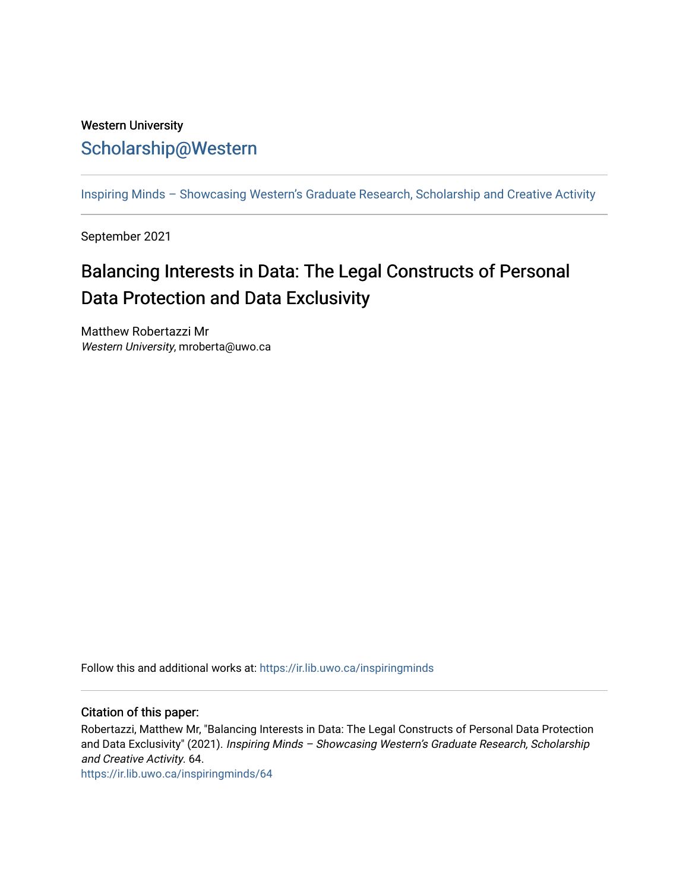## Western University [Scholarship@Western](https://ir.lib.uwo.ca/)

[Inspiring Minds – Showcasing Western's Graduate Research, Scholarship and Creative Activity](https://ir.lib.uwo.ca/inspiringminds) 

September 2021

## Balancing Interests in Data: The Legal Constructs of Personal Data Protection and Data Exclusivity

Matthew Robertazzi Mr Western University, mroberta@uwo.ca

Follow this and additional works at: [https://ir.lib.uwo.ca/inspiringminds](https://ir.lib.uwo.ca/inspiringminds?utm_source=ir.lib.uwo.ca%2Finspiringminds%2F64&utm_medium=PDF&utm_campaign=PDFCoverPages) 

## Citation of this paper:

Robertazzi, Matthew Mr, "Balancing Interests in Data: The Legal Constructs of Personal Data Protection and Data Exclusivity" (2021). Inspiring Minds - Showcasing Western's Graduate Research, Scholarship and Creative Activity. 64.

[https://ir.lib.uwo.ca/inspiringminds/64](https://ir.lib.uwo.ca/inspiringminds/64?utm_source=ir.lib.uwo.ca%2Finspiringminds%2F64&utm_medium=PDF&utm_campaign=PDFCoverPages)